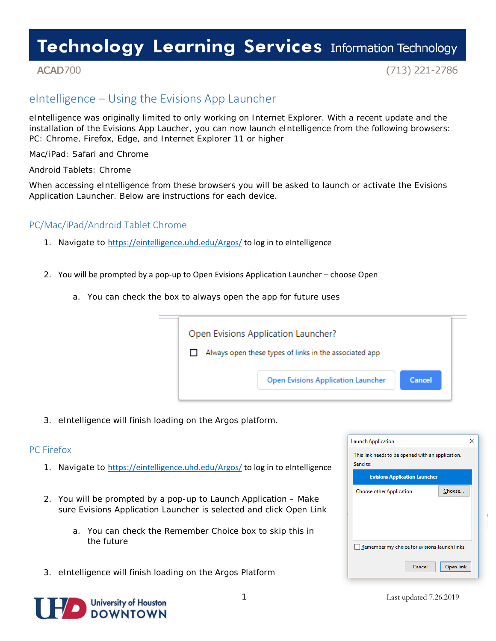# **Technology Learning Services Information Technology**

### ACAD700

 $(713)$  221-2786

## eIntelligence – Using the Evisions App Launcher

eIntelligence was originally limited to only working on Internet Explorer. With a recent update and the installation of the Evisions App Laucher, you can now launch eIntelligence from the following browsers: PC: Chrome, Firefox, Edge, and Internet Explorer 11 or higher

Mac/iPad: Safari and Chrome

Android Tablets: Chrome

When accessing eIntelligence from these browsers you will be asked to launch or activate the Evisions Application Launcher. Below are instructions for each device.

#### PC/Mac/iPad/Android Tablet Chrome

- 1. Navigate to <https://eintelligence.uhd.edu/Argos/> to log in to eIntelligence
- 2. You will be prompted by a pop-up to Open Evisions Application Launcher choose Open
	- a. You can check the box to always open the app for future uses



3. eIntelligence will finish loading on the Argos platform.

#### PC Firefox

- 1. Navigate to <https://eintelligence.uhd.edu/Argos/> to log in to eIntelligence
- 2. You will be prompted by a pop-up to Launch Application Make sure Evisions Application Launcher is selected and click Open Link
	- a. You can check the Remember Choice box to skip this in the future
- 3. eIntelligence will finish loading on the Argos Platform



| This link needs to be opened with an application.<br>Send to: |           |  |
|---------------------------------------------------------------|-----------|--|
| <b>Evisions Application Launcher</b>                          |           |  |
| <b>Choose other Application</b>                               | Choose    |  |
|                                                               |           |  |
|                                                               |           |  |
|                                                               |           |  |
| Remember my choice for evisions-launch links.                 |           |  |
| Cancel                                                        | Open link |  |

 $\times$ 

**Launch Application**